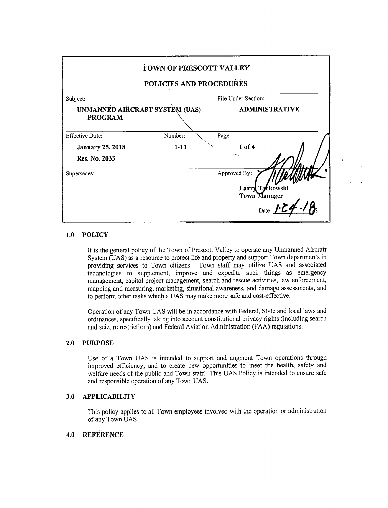| TOWN OF PRESCOTT VALLEY<br>POLICIES AND PROCEDURES |                                |                                                                 |  |
|----------------------------------------------------|--------------------------------|-----------------------------------------------------------------|--|
| Subject:                                           |                                | File Under Section:                                             |  |
| <b>PROGRAM</b>                                     | UNMANNED AIRCRAFT SYSTÈM (UAS) | <b>ADMINISTRATIVE</b>                                           |  |
| <b>Effective Date:</b>                             | Number:                        | Page:                                                           |  |
| <b>January 25, 2018</b>                            | $1 - 11$                       | $1$ of 4                                                        |  |
| Res. No. 2033                                      |                                |                                                                 |  |
| Supersedes:                                        |                                | Approved By:<br>Larry Tarkowski<br>Town Manager<br>Date: $\int$ |  |

## 1.0 POLICY

It is the general policy of the Town of Prescott Valley to operate any Unmanned Aircraft System (UAS) as a resource to protect life and property and support Town departments in providing services to Town citizens. Town staff may utilize UAS and associated technologies to supplement, improve and expedite such things as emergency management, capital project management, search and rescue activities, law enforcement, mapping and measuring, marketing, situational awareness, and damage assessments, and to perform other tasks which a UAS may make more safe and cost-effective.

Operation of any Town UAS will be in accordance with Federal, State and local laws and ordinances, specifically taking into account constitutional privacy rights (including search and seizure restrictions) and Federal Aviation Administration( FAA) regulations.

### 2.0 PURPOSE

Use of <sup>a</sup> Town UAS is intended to support and augment Town operations through improved efficiency, and to create new opportunities to meet the health, safety and welfare needs of the public and Town staff. This UAS Policy is intended to ensure safe and responsible operation of any Town UAS.

#### 3.0 APPLICABILITY

This policy applies to all Town employees involved with the operation or administration of any Town UAS.

### 4.0 REFERENCE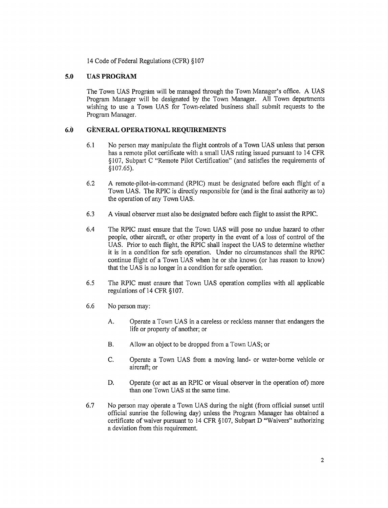14 Code of Federal Regulations( CFR) § 107

# 5.0 UAS PROGRAM

The Town UAS Program will be managed through the Town Manager' <sup>s</sup> office. A UAS Program Manager will be designated by the Town Manager. All Town departments wishing to use a Town UAS for Town-related business shall submit requests to the Program Manager.

## 6.0 GENERAL OPERATIONAL REQUIREMENTS

- 6. <sup>1</sup> No person may manipulate the flight controls of a Town UAS unless that person has a remote pilot certificate with a small UAS rating issued pursuant to 14 CFR 107, Subpart C " Remote Pilot Certification" ( and satisfies the requirements of  $$107.65$ ).
- 6.2 A remote-pilot-in-command (RPIC) must be designated before each flight of a Town UAS. The RPIC is directly responsible for( and is the final authority as to) the operation of any Town UAS.
- 6. <sup>3</sup> A visual observer must also be designated before each flight to assist the RPIC.
- 6.4 The RPIC must ensure that the Town UAS will pose no undue hazard to other people, other aircraft, or other property in the event of <sup>a</sup> loss of control of the UAS. Prior to each flight, the RPIC shall inspect the UAS to determine whether it is in a condition for safe operation. Under no circumstances shall the RPIC continue flight of a Town UAS when he or she knows (or has reason to know) that the UAS is no longer in a condition for safe operation.
- 6. 5 The RPIC must ensure that Town UAS operation complies with all applicable regulations of 14 CFR§ 107.
- 6.6 No person may:
	- A. Operate a Town UAS in a careless or reckless manner that endangers the life or property of another; or
	- B. Allow an object to be dropped from <sup>a</sup> Town UAS; or
	- C. Operate a Town UAS from a moving land- or water-borne vehicle or aircraft; or
	- D. Operate (or act as an RPIC or visual observer in the operation of) more than one Town UAS at the same time.
- 6.7 No person may operate a Town UAS during the night ( from official sunset until official sunrise the following day) unless the Program Manager has obtained a certificate of waiver pursuant to 14 CFR § 107, Subpart D " Waivers" authorizing a deviation from this requirement.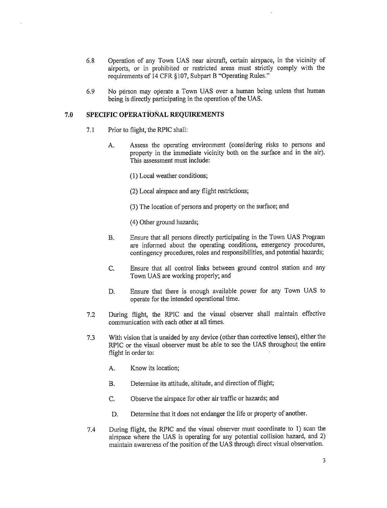- 6. <sup>8</sup> Operation of any Town UAS near aircraft, certain airspace, in the vicinity of airports, or in prohibited or restricted areas must strictly comply with the requirements of 14 CFR § 107, Subpart B "Operating Rules."
- 6.9 No person may operate a Town UAS over a human being unless that human being is directly participating in the operation of the UAS.

## 7.0 SPECIFIC OPERATIONAL REQUIREMENTS

- 7.1 Prior to flight, the RPIC shall:
	- A. Assess the operating environment (considering risks to persons and property in the immediate vicinity both on the surface and in the air). This assessment must include:
		- 1) Local weather conditions;
		- 2) Local airspace and any flight restrictions;
		- 3) The location of persons and property on the surface; and
		- 4) Other ground hazards;
	- B. Ensure that all persons directly participating in the Town UAS Program are informed about the operating conditions, emergency procedures, contingency procedures, roles and responsibilities, and potential hazards;
	- C. Ensure that all control links between ground control station and any Town UAS are working properly; and
	- D. Ensure that there is enough available power for any Town UAS to operate for the intended operational time.
- 7. 2 During flight, the RPIC and the visual observer shall maintain effective communication with each other at all times.
- 7.3 With vision that is unaided by any device( other than corrective lenses), either the RPIC or the visual observer must be able to see the UAS throughout the entire flight in order to:
	- A. Know its location;
	- B. Determine its attitude, altitude, and direction of flight;
	- C. Observe the airspace for other air traffic or hazards; and
	- D. Determine that it does not endanger the life or property of another.
- 7.4 During flight, the RPIC and the visual observer must coordinate to 1) scan the airspace where the UAS is operating for any potential collision hazard, and 2) maintain awareness of the position of the UAS through direct visual observation.